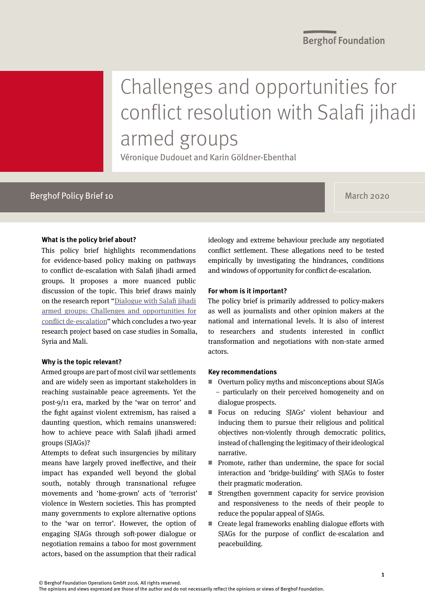# Challenges and opportunities for conflict resolution with Salafi jihadi armed groups

Véronique Dudouet and Karin Göldner-Ebenthal

# Berghof Policy Brief 10 March 2020 and the United States of the United States of the March 2020

## **What is the policy brief about?**

This policy brief highlights recommendations for evidence-based policy making on pathways to conflict de-escalation with Salafi jihadi armed groups. It proposes a more nuanced public discussion of the topic. This brief draws mainly on the research report ["Dialogue with Salafi jihadi](https://www.berghof-foundation.org/fileadmin/user_upload/BF_Dialogue_with_Salafi_jihadi_armed_groups_V1.1.pdf)  [armed groups: Challenges and opportunities for](https://www.berghof-foundation.org/fileadmin/user_upload/BF_Dialogue_with_Salafi_jihadi_armed_groups_V1.1.pdf)  [conflict de-escalation](https://www.berghof-foundation.org/fileadmin/user_upload/BF_Dialogue_with_Salafi_jihadi_armed_groups_V1.1.pdf)" which concludes a two-year research project based on case studies in Somalia, Syria and Mali.

### **Why is the topic relevant?**

Armed groups are part of most civil war settlements and are widely seen as important stakeholders in reaching sustainable peace agreements. Yet the post-9/11 era, marked by the 'war on terror' and the fight against violent extremism, has raised a daunting question, which remains unanswered: how to achieve peace with Salafi jihadi armed groups (SJAGs)?

Attempts to defeat such insurgencies by military means have largely proved ineffective, and their impact has expanded well beyond the global south, notably through transnational refugee movements and 'home-grown' acts of 'terrorist' violence in Western societies. This has prompted many governments to explore alternative options to the 'war on terror'. However, the option of engaging SJAGs through soft-power dialogue or negotiation remains a taboo for most government actors, based on the assumption that their radical

ideology and extreme behaviour preclude any negotiated conflict settlement. These allegations need to be tested empirically by investigating the hindrances, conditions and windows of opportunity for conflict de-escalation.

### **For whom is it important?**

The policy brief is primarily addressed to policy-makers as well as journalists and other opinion makers at the national and international levels. It is also of interest to researchers and students interested in conflict transformation and negotiations with non-state armed actors.

### **Key recommendations**

- $\equiv$  Overturn policy myths and misconceptions about SIAGs – particularly on their perceived homogeneity and on dialogue prospects.
- $\equiv$  Focus on reducing SJAGs' violent behaviour and inducing them to pursue their religious and political objectives non-violently through democratic politics, instead of challenging the legitimacy of their ideological narrative.
- $\equiv$  Promote, rather than undermine, the space for social interaction and 'bridge-building' with SJAGs to foster their pragmatic moderation.
- $\equiv$  Strengthen government capacity for service provision and responsiveness to the needs of their people to reduce the popular appeal of SJAGs.
- $\equiv$  Create legal frameworks enabling dialogue efforts with SJAGs for the purpose of conflict de-escalation and peacebuilding.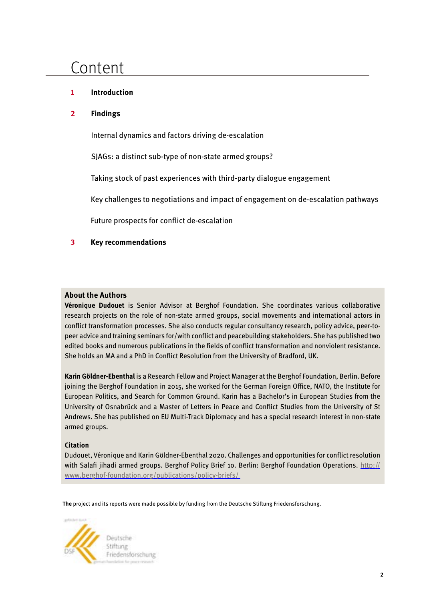# Content

# **1 Introduction**

## **2 Findings**

Internal dynamics and factors driving de-escalation

SJAGs: a distinct sub-type of non-state armed groups?

Taking stock of past experiences with third-party dialogue engagement

Key challenges to negotiations and impact of engagement on de-escalation pathways

Future prospects for conflict de-escalation

## **3 Key recommendations**

## **About the Authors**

**Véronique Dudouet** is Senior Advisor at Berghof Foundation. She coordinates various collaborative research projects on the role of non-state armed groups, social movements and international actors in conflict transformation processes. She also conducts regular consultancy research, policy advice, peer-topeer advice and training seminars for/with conflict and peacebuilding stakeholders. She has published two edited books and numerous publications in the fields of conflict transformation and nonviolent resistance. She holds an MA and a PhD in Conflict Resolution from the University of Bradford, UK.

**Karin Göldner-Ebenthal** is a Research Fellow and Project Manager at the Berghof Foundation, Berlin. Before joining the Berghof Foundation in 2015, she worked for the German Foreign Office, NATO, the Institute for European Politics, and Search for Common Ground. Karin has a Bachelor's in European Studies from the University of Osnabrück and a Master of Letters in Peace and Conflict Studies from the University of St Andrews. She has published on EU Multi-Track Diplomacy and has a special research interest in non-state armed groups.

### **Citation**

Dudouet, Véronique and Karin Göldner-Ebenthal 2020. Challenges and opportunities for conflict resolution with Salafi jihadi armed groups. Berghof Policy Brief 10. Berlin: Berghof Foundation Operations. [http://](https://www.berghof-foundation.org/publications/policy-briefs/) [www.berghof-foundation.org/publications/policy-briefs/](https://www.berghof-foundation.org/publications/policy-briefs/) 

**The** project and its reports were made possible by funding from the Deutsche Stiftung Friedensforschung.



Friedensforschung Cher carso a ratio tor-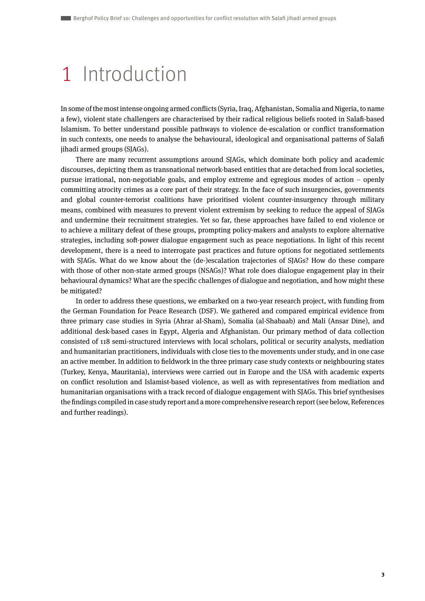# 1 Introduction

In some of the most intense ongoing armed conflicts (Syria, Iraq, Afghanistan, Somalia and Nigeria, to name a few), violent state challengers are characterised by their radical religious beliefs rooted in Salafi-based Islamism. To better understand possible pathways to violence de-escalation or conflict transformation in such contexts, one needs to analyse the behavioural, ideological and organisational patterns of Salafi jihadi armed groups (SJAGs).

There are many recurrent assumptions around SJAGs, which dominate both policy and academic discourses, depicting them as transnational network-based entities that are detached from local societies, pursue irrational, non-negotiable goals, and employ extreme and egregious modes of action – openly committing atrocity crimes as a core part of their strategy. In the face of such insurgencies, governments and global counter-terrorist coalitions have prioritised violent counter-insurgency through military means, combined with measures to prevent violent extremism by seeking to reduce the appeal of SJAGs and undermine their recruitment strategies. Yet so far, these approaches have failed to end violence or to achieve a military defeat of these groups, prompting policy-makers and analysts to explore alternative strategies, including soft-power dialogue engagement such as peace negotiations. In light of this recent development, there is a need to interrogate past practices and future options for negotiated settlements with SJAGs. What do we know about the (de-)escalation trajectories of SJAGs? How do these compare with those of other non-state armed groups (NSAGs)? What role does dialogue engagement play in their behavioural dynamics? What are the specific challenges of dialogue and negotiation, and how might these be mitigated?

In order to address these questions, we embarked on a two-year research project, with funding from the German Foundation for Peace Research (DSF). We gathered and compared empirical evidence from three primary case studies in Syria (Ahrar al-Sham), Somalia (al-Shabaab) and Mali (Ansar Dine), and additional desk-based cases in Egypt, Algeria and Afghanistan. Our primary method of data collection consisted of 118 semi-structured interviews with local scholars, political or security analysts, mediation and humanitarian practitioners, individuals with close ties to the movements under study, and in one case an active member. In addition to fieldwork in the three primary case study contexts or neighbouring states (Turkey, Kenya, Mauritania), interviews were carried out in Europe and the USA with academic experts on conflict resolution and Islamist-based violence, as well as with representatives from mediation and humanitarian organisations with a track record of dialogue engagement with SJAGs. This brief synthesises the findings compiled in case study report and a more comprehensive research report (see below, References and further readings).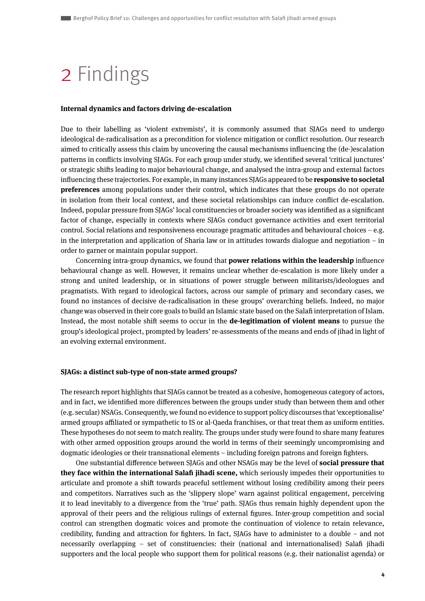# 2 Findings

#### **Internal dynamics and factors driving de-escalation**

Due to their labelling as 'violent extremists', it is commonly assumed that SJAGs need to undergo ideological de-radicalisation as a precondition for violence mitigation or conflict resolution. Our research aimed to critically assess this claim by uncovering the causal mechanisms influencing the (de-)escalation patterns in conflicts involving SJAGs. For each group under study, we identified several 'critical junctures' or strategic shifts leading to major behavioural change, and analysed the intra-group and external factors influencing these trajectories. For example, in many instances SJAGs appeared to be **responsive to societal preferences** among populations under their control, which indicates that these groups do not operate in isolation from their local context, and these societal relationships can induce conflict de-escalation. Indeed, popular pressure from SJAGs' local constituencies or broader society was identified as a significant factor of change, especially in contexts where SJAGs conduct governance activities and exert territorial control. Social relations and responsiveness encourage pragmatic attitudes and behavioural choices – e.g. in the interpretation and application of Sharia law or in attitudes towards dialogue and negotiation – in order to garner or maintain popular support.

Concerning intra-group dynamics, we found that **power relations within the leadership** influence behavioural change as well. However, it remains unclear whether de-escalation is more likely under a strong and united leadership, or in situations of power struggle between militarists/ideologues and pragmatists. With regard to ideological factors, across our sample of primary and secondary cases, we found no instances of decisive de-radicalisation in these groups' overarching beliefs. Indeed, no major change was observed in their core goals to build an Islamic state based on the Salafi interpretation of Islam. Instead, the most notable shift seems to occur in the **de-legitimation of violent means** to pursue the group's ideological project, prompted by leaders' re-assessments of the means and ends of jihad in light of an evolving external environment.

#### **SJAGs: a distinct sub-type of non-state armed groups?**

The research report highlights that SJAGs cannot be treated as a cohesive, homogeneous category of actors, and in fact, we identified more differences between the groups under study than between them and other (e.g. secular) NSAGs. Consequently, we found no evidence to support policy discourses that 'exceptionalise' armed groups affiliated or sympathetic to IS or al-Qaeda franchises, or that treat them as uniform entities. These hypotheses do not seem to match reality. The groups under study were found to share many features with other armed opposition groups around the world in terms of their seemingly uncompromising and dogmatic ideologies or their transnational elements – including foreign patrons and foreign fighters.

One substantial difference between SJAGs and other NSAGs may be the level of **social pressure that they face within the international Salafi jihadi scene,** which seriously impedes their opportunities to articulate and promote a shift towards peaceful settlement without losing credibility among their peers and competitors. Narratives such as the 'slippery slope' warn against political engagement, perceiving it to lead inevitably to a divergence from the 'true' path. SJAGs thus remain highly dependent upon the approval of their peers and the religious rulings of external figures. Inter-group competition and social control can strengthen dogmatic voices and promote the continuation of violence to retain relevance, credibility, funding and attraction for fighters. In fact, SJAGs have to administer to a double – and not necessarily overlapping – set of constituencies: their (national and internationalised) Salafi jihadi supporters and the local people who support them for political reasons (e.g. their nationalist agenda) or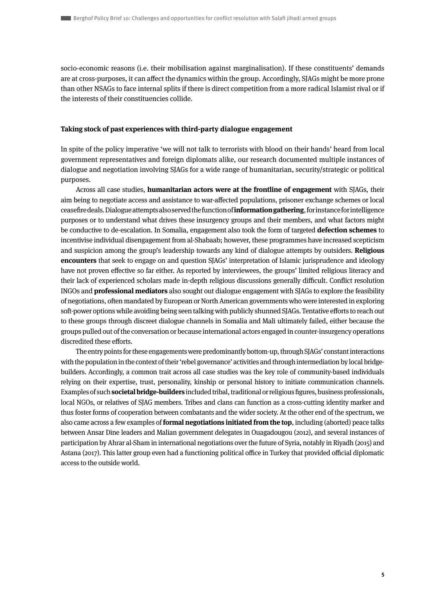socio-economic reasons (i.e. their mobilisation against marginalisation). If these constituents' demands are at cross-purposes, it can affect the dynamics within the group. Accordingly, SJAGs might be more prone than other NSAGs to face internal splits if there is direct competition from a more radical Islamist rival or if the interests of their constituencies collide.

#### **Taking stock of past experiences with third-party dialogue engagement**

In spite of the policy imperative 'we will not talk to terrorists with blood on their hands' heard from local government representatives and foreign diplomats alike, our research documented multiple instances of dialogue and negotiation involving SJAGs for a wide range of humanitarian, security/strategic or political purposes.

Across all case studies, **humanitarian actors were at the frontline of engagement** with SJAGs, their aim being to negotiate access and assistance to war-affected populations, prisoner exchange schemes or local ceasefire deals. Dialogue attempts also served the function of **information gathering**, for instance for intelligence purposes or to understand what drives these insurgency groups and their members, and what factors might be conductive to de-escalation. In Somalia, engagement also took the form of targeted **defection schemes** to incentivise individual disengagement from al-Shabaab; however, these programmes have increased scepticism and suspicion among the group's leadership towards any kind of dialogue attempts by outsiders. **Religious encounters** that seek to engage on and question SJAGs' interpretation of Islamic jurisprudence and ideology have not proven effective so far either. As reported by interviewees, the groups' limited religious literacy and their lack of experienced scholars made in-depth religious discussions generally difficult. Conflict resolution INGOs and **professional mediators** also sought out dialogue engagement with SJAGs to explore the feasibility of negotiations, often mandated by European or North American governments who were interested in exploring soft-power options while avoiding being seen talking with publicly shunned SJAGs. Tentative efforts to reach out to these groups through discreet dialogue channels in Somalia and Mali ultimately failed, either because the groups pulled out of the conversation or because international actors engaged in counter-insurgency operations discredited these efforts.

The entry points for these engagements were predominantly bottom-up, through SJAGs' constant interactions with the population in the context of their 'rebel governance' activities and through intermediation by local bridgebuilders. Accordingly, a common trait across all case studies was the key role of community-based individuals relying on their expertise, trust, personality, kinship or personal history to initiate communication channels. Examples of such **societal bridge-builders** included tribal, traditional or religious figures, business professionals, local NGOs, or relatives of SJAG members. Tribes and clans can function as a cross-cutting identity marker and thus foster forms of cooperation between combatants and the wider society. At the other end of the spectrum, we also came across a few examples of **formal negotiations initiated from the top**, including (aborted) peace talks between Ansar Dine leaders and Malian government delegates in Ouagadougou (2012), and several instances of participation by Ahrar al-Sham in international negotiations over the future of Syria, notably in Riyadh (2015) and Astana (2017). This latter group even had a functioning political office in Turkey that provided official diplomatic access to the outside world.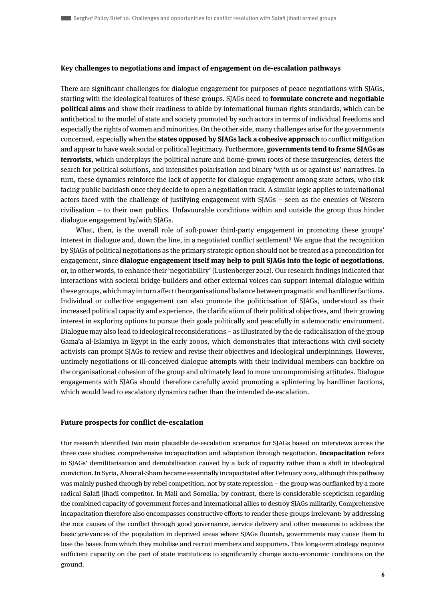#### **Key challenges to negotiations and impact of engagement on de-escalation pathways**

There are significant challenges for dialogue engagement for purposes of peace negotiations with SJAGs, starting with the ideological features of these groups. SJAGs need to **formulate concrete and negotiable political aims** and show their readiness to abide by international human rights standards, which can be antithetical to the model of state and society promoted by such actors in terms of individual freedoms and especially the rights of women and minorities. On the other side, many challenges arise for the governments concerned, especially when the **states opposed by SJAGs lack a cohesive approach** to conflict mitigation and appear to have weak social or political legitimacy. Furthermore, **governments tend to frame SJAGs as terrorists**, which underplays the political nature and home-grown roots of these insurgencies, deters the search for political solutions, and intensifies polarisation and binary 'with us or against us' narratives. In turn, these dynamics reinforce the lack of appetite for dialogue engagement among state actors, who risk facing public backlash once they decide to open a negotiation track. A similar logic applies to international actors faced with the challenge of justifying engagement with SJAGs – seen as the enemies of Western civilisation – to their own publics. Unfavourable conditions within and outside the group thus hinder dialogue engagement by/with SJAGs.

What, then, is the overall role of soft-power third-party engagement in promoting these groups' interest in dialogue and, down the line, in a negotiated conflict settlement? We argue that the recognition by SJAGs of political negotiations as the primary strategic option should not be treated as a precondition for engagement, since **dialogue engagement itself may help to pull SJAGs into the logic of negotiations**, or, in other words, to enhance their 'negotiability' (Lustenberger 2012). Our research findings indicated that interactions with societal bridge-builders and other external voices can support internal dialogue within these groups, which may in turn affect the organisational balance between pragmatic and hardliner factions. Individual or collective engagement can also promote the politicisation of SJAGs, understood as their increased political capacity and experience, the clarification of their political objectives, and their growing interest in exploring options to pursue their goals politically and peacefully in a democratic environment. Dialogue may also lead to ideological reconsiderations – as illustrated by the de-radicalisation of the group Gama'a al-Islamiya in Egypt in the early 2000s, which demonstrates that interactions with civil society activists can prompt SJAGs to review and revise their objectives and ideological underpinnings. However, untimely negotiations or ill-conceived dialogue attempts with their individual members can backfire on the organisational cohesion of the group and ultimately lead to more uncompromising attitudes. Dialogue engagements with SJAGs should therefore carefully avoid promoting a splintering by hardliner factions, which would lead to escalatory dynamics rather than the intended de-escalation.

#### **Future prospects for conflict de-escalation**

Our research identified two main plausible de-escalation scenarios for SJAGs based on interviews across the three case studies: comprehensive incapacitation and adaptation through negotiation. **Incapacitation** refers to SJAGs' demilitarisation and demobilisation caused by a lack of capacity rather than a shift in ideological conviction. In Syria, Ahrar al-Sham became essentially incapacitated after February 2019, although this pathway was mainly pushed through by rebel competition, not by state repression – the group was outflanked by a more radical Salafi jihadi competitor. In Mali and Somalia, by contrast, there is considerable scepticism regarding the combined capacity of government forces and international allies to destroy SJAGs militarily. Comprehensive incapacitation therefore also encompasses constructive efforts to render these groups irrelevant: by addressing the root causes of the conflict through good governance, service delivery and other measures to address the basic grievances of the population in deprived areas where SJAGs flourish, governments may cause them to lose the bases from which they mobilise and recruit members and supporters. This long-term strategy requires sufficient capacity on the part of state institutions to significantly change socio-economic conditions on the ground.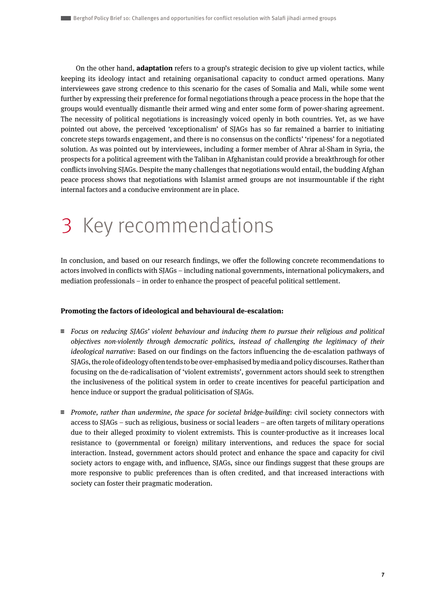On the other hand, **adaptation** refers to a group's strategic decision to give up violent tactics, while keeping its ideology intact and retaining organisational capacity to conduct armed operations. Many interviewees gave strong credence to this scenario for the cases of Somalia and Mali, while some went further by expressing their preference for formal negotiations through a peace process in the hope that the groups would eventually dismantle their armed wing and enter some form of power-sharing agreement. The necessity of political negotiations is increasingly voiced openly in both countries. Yet, as we have pointed out above, the perceived 'exceptionalism' of SJAGs has so far remained a barrier to initiating concrete steps towards engagement, and there is no consensus on the conflicts' 'ripeness' for a negotiated solution. As was pointed out by interviewees, including a former member of Ahrar al-Sham in Syria, the prospects for a political agreement with the Taliban in Afghanistan could provide a breakthrough for other conflicts involving SJAGs. Despite the many challenges that negotiations would entail, the budding Afghan peace process shows that negotiations with Islamist armed groups are not insurmountable if the right internal factors and a conducive environment are in place.

# 3 Key recommendations

In conclusion, and based on our research findings, we offer the following concrete recommendations to actors involved in conflicts with SJAGs – including national governments, international policymakers, and mediation professionals – in order to enhance the prospect of peaceful political settlement.

### **Promoting the factors of ideological and behavioural de-escalation:**

- $\equiv$  Focus on reducing SJAGs' violent behaviour and inducing them to pursue their religious and political objectives non-violently through democratic politics, instead of challenging the legitimacy of their ideological narrative: Based on our findings on the factors influencing the de-escalation pathways of SJAGs, the role of ideology often tends to be over-emphasised by media and policy discourses. Rather than focusing on the de-radicalisation of 'violent extremists', government actors should seek to strengthen the inclusiveness of the political system in order to create incentives for peaceful participation and hence induce or support the gradual politicisation of SJAGs.
- $\equiv$  Promote, rather than undermine, the space for societal bridge-building: civil society connectors with access to SJAGs – such as religious, business or social leaders – are often targets of military operations due to their alleged proximity to violent extremists. This is counter-productive as it increases local resistance to (governmental or foreign) military interventions, and reduces the space for social interaction. Instead, government actors should protect and enhance the space and capacity for civil society actors to engage with, and influence, SJAGs, since our findings suggest that these groups are more responsive to public preferences than is often credited, and that increased interactions with society can foster their pragmatic moderation.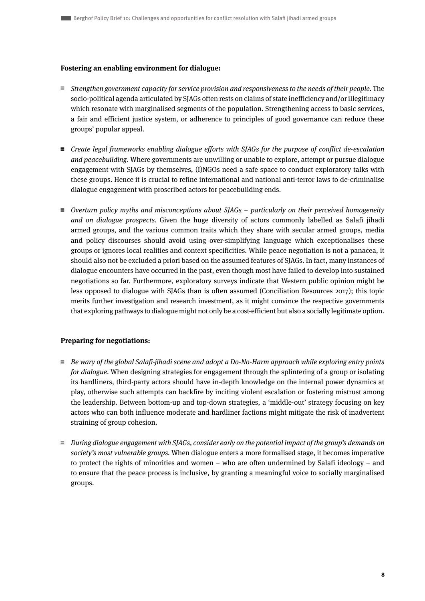### **Fostering an enabling environment for dialogue:**

- $\equiv$  Strengthen government capacity for service provision and responsiveness to the needs of their people. The socio-political agenda articulated by SJAGs often rests on claims of state inefficiency and/or illegitimacy which resonate with marginalised segments of the population. Strengthening access to basic services, a fair and efficient justice system, or adherence to principles of good governance can reduce these groups' popular appeal.
- $\equiv$  Create legal frameworks enabling dialogue efforts with SJAGs for the purpose of conflict de-escalation and peacebuilding. Where governments are unwilling or unable to explore, attempt or pursue dialogue engagement with SJAGs by themselves, (I)NGOs need a safe space to conduct exploratory talks with these groups. Hence it is crucial to refine international and national anti-terror laws to de-criminalise dialogue engagement with proscribed actors for peacebuilding ends.
- $\equiv$  Overturn policy myths and misconceptions about SJAGs particularly on their perceived homogeneity and on dialogue prospects. Given the huge diversity of actors commonly labelled as Salafi jihadi armed groups, and the various common traits which they share with secular armed groups, media and policy discourses should avoid using over-simplifying language which exceptionalises these groups or ignores local realities and context specificities. While peace negotiation is not a panacea, it should also not be excluded a priori based on the assumed features of SJAGs. In fact, many instances of dialogue encounters have occurred in the past, even though most have failed to develop into sustained negotiations so far. Furthermore, exploratory surveys indicate that Western public opinion might be less opposed to dialogue with SJAGs than is often assumed (Conciliation Resources 2017); this topic merits further investigation and research investment, as it might convince the respective governments that exploring pathways to dialogue might not only be a cost-efficient but also a socially legitimate option.

### **Preparing for negotiations:**

- $\equiv$  Be wary of the global Salafi-jihadi scene and adopt a Do-No-Harm approach while exploring entry points for dialogue. When designing strategies for engagement through the splintering of a group or isolating its hardliners, third-party actors should have in-depth knowledge on the internal power dynamics at play, otherwise such attempts can backfire by inciting violent escalation or fostering mistrust among the leadership. Between bottom-up and top-down strategies, a 'middle-out' strategy focusing on key actors who can both influence moderate and hardliner factions might mitigate the risk of inadvertent straining of group cohesion.
- $\equiv$  During dialogue engagement with SJAGs, consider early on the potential impact of the group's demands on society's most vulnerable groups. When dialogue enters a more formalised stage, it becomes imperative to protect the rights of minorities and women – who are often undermined by Salafi ideology – and to ensure that the peace process is inclusive, by granting a meaningful voice to socially marginalised groups.